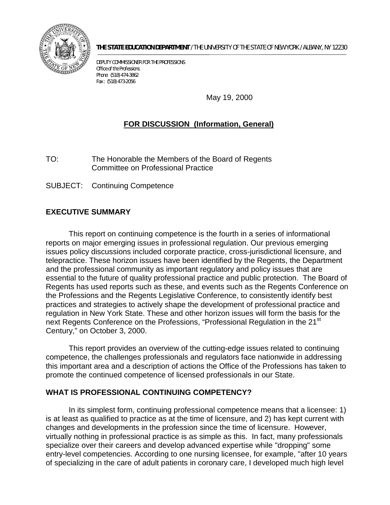

**THE STATE EDUCATION DEPARTMENT** / THE UNIVERSITY OF THE STATE OF NEW YORK / ALBANY, NY 12230

DEPUTY COMMISSIONER FOR THE PROFESSIONS Office of the Professions Phone: (518) 474-3862 Fax : (518) 473-2056

May 19, 2000

# **FOR DISCUSSION (Information, General)**

TO: The Honorable the Members of the Board of Regents Committee on Professional Practice

SUBJECT: Continuing Competence

# **EXECUTIVE SUMMARY**

 essential to the future of quality professional practice and public protection. The Board of This report on continuing competence is the fourth in a series of informational reports on major emerging issues in professional regulation. Our previous emerging issues policy discussions included corporate practice, cross-jurisdictional licensure, and telepractice. These horizon issues have been identified by the Regents, the Department and the professional community as important regulatory and policy issues that are Regents has used reports such as these, and events such as the Regents Conference on the Professions and the Regents Legislative Conference, to consistently identify best practices and strategies to actively shape the development of professional practice and regulation in New York State. These and other horizon issues will form the basis for the next Regents Conference on the Professions, "Professional Regulation in the 21<sup>st</sup> Century," on October 3, 2000.

This report provides an overview of the cutting-edge issues related to continuing competence, the challenges professionals and regulators face nationwide in addressing this important area and a description of actions the Office of the Professions has taken to promote the continued competence of licensed professionals in our State.

### **WHAT IS PROFESSIONAL CONTINUING COMPETENCY?**

 entry-level competencies. According to one nursing licensee, for example, "after 10 years In its simplest form, continuing professional competence means that a licensee: 1) is at least as qualified to practice as at the time of licensure, and 2) has kept current with changes and developments in the profession since the time of licensure. However, virtually nothing in professional practice is as simple as this. In fact, many professionals specialize over their careers and develop advanced expertise while "dropping" some of specializing in the care of adult patients in coronary care, I developed much high level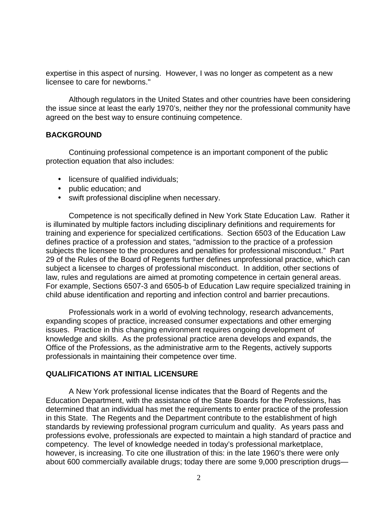expertise in this aspect of nursing. However, I was no longer as competent as a new licensee to care for newborns."

Although regulators in the United States and other countries have been considering the issue since at least the early 1970's, neither they nor the professional community have agreed on the best way to ensure continuing competence.

### **BACKGROUND**

Continuing professional competence is an important component of the public protection equation that also includes:

- licensure of qualified individuals;
- public education; and
- swift professional discipline when necessary.

 is illuminated by multiple factors including disciplinary definitions and requirements for Competence is not specifically defined in New York State Education Law. Rather it training and experience for specialized certifications. Section 6503 of the Education Law defines practice of a profession and states, "admission to the practice of a profession subjects the licensee to the procedures and penalties for professional misconduct." Part 29 of the Rules of the Board of Regents further defines unprofessional practice, which can subject a licensee to charges of professional misconduct. In addition, other sections of law, rules and regulations are aimed at promoting competence in certain general areas. For example, Sections 6507-3 and 6505-b of Education Law require specialized training in child abuse identification and reporting and infection control and barrier precautions.

Professionals work in a world of evolving technology, research advancements, expanding scopes of practice, increased consumer expectations and other emerging issues. Practice in this changing environment requires ongoing development of knowledge and skills. As the professional practice arena develops and expands, the Office of the Professions, as the administrative arm to the Regents, actively supports professionals in maintaining their competence over time.

### **QUALIFICATIONS AT INITIAL LICENSURE**

 in this State. The Regents and the Department contribute to the establishment of high A New York professional license indicates that the Board of Regents and the Education Department, with the assistance of the State Boards for the Professions, has determined that an individual has met the requirements to enter practice of the profession standards by reviewing professional program curriculum and quality. As years pass and professions evolve, professionals are expected to maintain a high standard of practice and competency. The level of knowledge needed in today's professional marketplace, however, is increasing. To cite one illustration of this: in the late 1960's there were only about 600 commercially available drugs; today there are some 9,000 prescription drugs—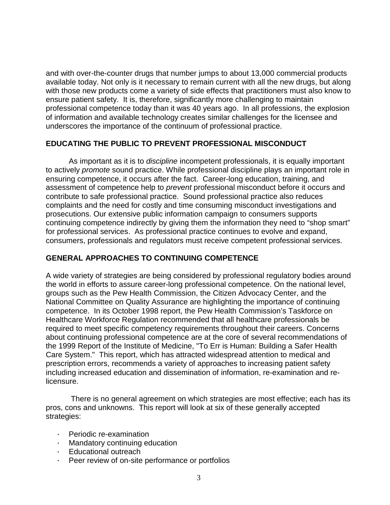and with over-the-counter drugs that number jumps to about 13,000 commercial products available today. Not only is it necessary to remain current with all the new drugs, but along with those new products come a variety of side effects that practitioners must also know to ensure patient safety. It is, therefore, significantly more challenging to maintain professional competence today than it was 40 years ago. In all professions, the explosion of information and available technology creates similar challenges for the licensee and underscores the importance of the continuum of professional practice.

## **EDUCATING THE PUBLIC TO PREVENT PROFESSIONAL MISCONDUCT**

As important as it is to *discipline* incompetent professionals, it is equally important to actively *promote* sound practice. While professional discipline plays an important role in ensuring competence, it occurs after the fact. Career-long education, training, and assessment of competence help to *prevent* professional misconduct before it occurs and contribute to safe professional practice. Sound professional practice also reduces complaints and the need for costly and time consuming misconduct investigations and prosecutions. Our extensive public information campaign to consumers supports continuing competence indirectly by giving them the information they need to "shop smart" for professional services. As professional practice continues to evolve and expand, consumers, professionals and regulators must receive competent professional services.

# **GENERAL APPROACHES TO CONTINUING COMPETENCE**

 Care System." This report, which has attracted widespread attention to medical and A wide variety of strategies are being considered by professional regulatory bodies around the world in efforts to assure career-long professional competence. On the national level, groups such as the Pew Health Commission, the Citizen Advocacy Center, and the National Committee on Quality Assurance are highlighting the importance of continuing competence. In its October 1998 report, the Pew Health Commission's Taskforce on Healthcare Workforce Regulation recommended that all healthcare professionals be required to meet specific competency requirements throughout their careers. Concerns about continuing professional competence are at the core of several recommendations of the 1999 Report of the Institute of Medicine, "To Err is Human: Building a Safer Health prescription errors, recommends a variety of approaches to increasing patient safety including increased education and dissemination of information, re-examination and relicensure.

 There is no general agreement on which strategies are most effective; each has its pros, cons and unknowns. This report will look at six of these generally accepted strategies:

- † Periodic re-examination
- † Mandatory continuing education
- † Educational outreach
- † Peer review of on-site performance or portfolios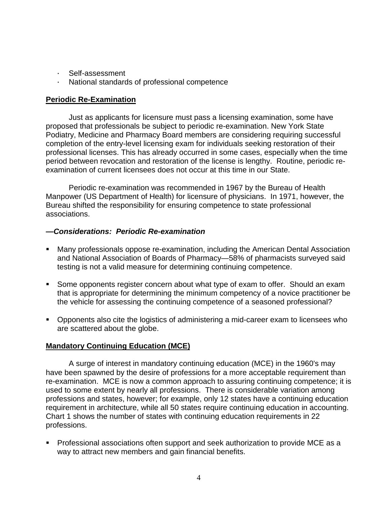- Self-assessment
- National standards of professional competence

# **Periodic Re-Examination**

Just as applicants for licensure must pass a licensing examination, some have proposed that professionals be subject to periodic re-examination. New York State Podiatry, Medicine and Pharmacy Board members are considering requiring successful completion of the entry-level licensing exam for individuals seeking restoration of their professional licenses. This has already occurred in some cases, especially when the time period between revocation and restoration of the license is lengthy. Routine, periodic reexamination of current licensees does not occur at this time in our State.

Periodic re-examination was recommended in 1967 by the Bureau of Health Manpower (US Department of Health) for licensure of physicians. In 1971, however, the Bureau shifted the responsibility for ensuring competence to state professional associations.

### *—Considerations: Periodic Re-examination*

- and National Association of Boards of Pharmacy—58% of pharmacists surveyed said ° Many professionals oppose re-examination, including the American Dental Association testing is not a valid measure for determining continuing competence.
- ° Some opponents register concern about what type of exam to offer. Should an exam that is appropriate for determining the minimum competency of a novice practitioner be the vehicle for assessing the continuing competence of a seasoned professional?
- ° Opponents also cite the logistics of administering a mid-career exam to licensees who are scattered about the globe.

# **Mandatory Continuing Education (MCE)**

A surge of interest in mandatory continuing education (MCE) in the 1960's may have been spawned by the desire of professions for a more acceptable requirement than re-examination. MCE is now a common approach to assuring continuing competence; it is used to some extent by nearly all professions. There is considerable variation among professions and states, however; for example, only 12 states have a continuing education requirement in architecture, while all 50 states require continuing education in accounting. Chart 1 shows the number of states with continuing education requirements in 22 professions.

 way to attract new members and gain financial benefits. ° Professional associations often support and seek authorization to provide MCE as a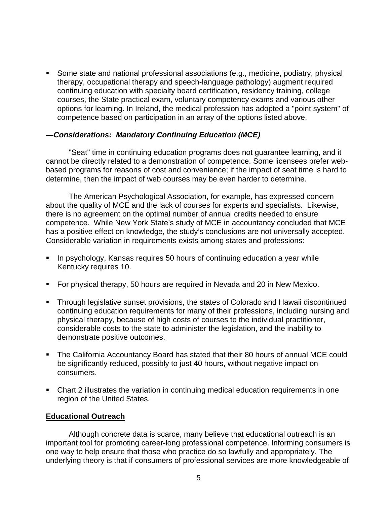° Some state and national professional associations (e.g., medicine, podiatry, physical therapy, occupational therapy and speech-language pathology) augment required continuing education with specialty board certification, residency training, college courses, the State practical exam, voluntary competency exams and various other options for learning. In Ireland, the medical profession has adopted a "point system" of competence based on participation in an array of the options listed above.

### *—Considerations: Mandatory Continuing Education (MCE)*

"Seat" time in continuing education programs does not guarantee learning, and it cannot be directly related to a demonstration of competence. Some licensees prefer webbased programs for reasons of cost and convenience; if the impact of seat time is hard to determine, then the impact of web courses may be even harder to determine.

 there is no agreement on the optimal number of annual credits needed to ensure competence. While New York State's study of MCE in accountancy concluded that MCE The American Psychological Association, for example, has expressed concern about the quality of MCE and the lack of courses for experts and specialists. Likewise, has a positive effect on knowledge, the study's conclusions are not universally accepted. Considerable variation in requirements exists among states and professions:

- In psychology, Kansas requires 50 hours of continuing education a year while Kentucky requires 10.
- ° For physical therapy, 50 hours are required in Nevada and 20 in New Mexico.
- considerable costs to the state to administer the legislation, and the inability to ° Through legislative sunset provisions, the states of Colorado and Hawaii discontinued continuing education requirements for many of their professions, including nursing and physical therapy, because of high costs of courses to the individual practitioner, demonstrate positive outcomes.
- ° The California Accountancy Board has stated that their 80 hours of annual MCE could be significantly reduced, possibly to just 40 hours, without negative impact on consumers.
- Chart 2 illustrates the variation in continuing medical education requirements in one region of the United States.

#### **Educational Outreach**

Although concrete data is scarce, many believe that educational outreach is an important tool for promoting career-long professional competence. Informing consumers is one way to help ensure that those who practice do so lawfully and appropriately. The underlying theory is that if consumers of professional services are more knowledgeable of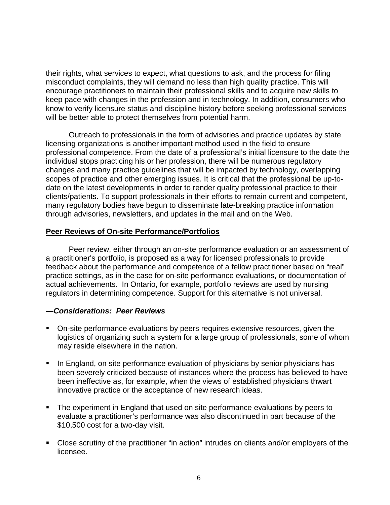their rights, what services to expect, what questions to ask, and the process for filing misconduct complaints, they will demand no less than high quality practice. This will encourage practitioners to maintain their professional skills and to acquire new skills to keep pace with changes in the profession and in technology. In addition, consumers who know to verify licensure status and discipline history before seeking professional services will be better able to protect themselves from potential harm.

 Outreach to professionals in the form of advisories and practice updates by state licensing organizations is another important method used in the field to ensure professional competence. From the date of a professional's initial licensure to the date the individual stops practicing his or her profession, there will be numerous regulatory changes and many practice guidelines that will be impacted by technology, overlapping scopes of practice and other emerging issues. It is critical that the professional be up-todate on the latest developments in order to render quality professional practice to their clients/patients. To support professionals in their efforts to remain current and competent, many regulatory bodies have begun to disseminate late-breaking practice information through advisories, newsletters, and updates in the mail and on the Web.

#### **Peer Reviews of On-site Performance/Portfolios**

Peer review, either through an on-site performance evaluation or an assessment of a practitioner's portfolio, is proposed as a way for licensed professionals to provide feedback about the performance and competence of a fellow practitioner based on "real" practice settings, as in the case for on-site performance evaluations, or documentation of actual achievements. In Ontario, for example, portfolio reviews are used by nursing regulators in determining competence. Support for this alternative is not universal.

#### *—Considerations: Peer Reviews*

- ° On-site performance evaluations by peers requires extensive resources, given the logistics of organizing such a system for a large group of professionals, some of whom may reside elsewhere in the nation.
- In England, on site performance evaluation of physicians by senior physicians has been severely criticized because of instances where the process has believed to have been ineffective as, for example, when the views of established physicians thwart innovative practice or the acceptance of new research ideas.
- ° The experiment in England that used on site performance evaluations by peers to evaluate a practitioner's performance was also discontinued in part because of the \$10,500 cost for a two-day visit.
- Close scrutiny of the practitioner "in action" intrudes on clients and/or employers of the licensee.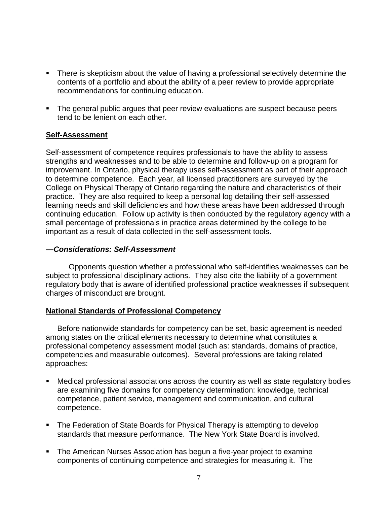- contents of a portfolio and about the ability of a peer review to provide appropriate • There is skepticism about the value of having a professional selectively determine the recommendations for continuing education.
- ° The general public argues that peer review evaluations are suspect because peers tend to be lenient on each other.

### **Self-Assessment**

Self-assessment of competence requires professionals to have the ability to assess strengths and weaknesses and to be able to determine and follow-up on a program for improvement. In Ontario, physical therapy uses self-assessment as part of their approach to determine competence. Each year, all licensed practitioners are surveyed by the College on Physical Therapy of Ontario regarding the nature and characteristics of their practice. They are also required to keep a personal log detailing their self-assessed learning needs and skill deficiencies and how these areas have been addressed through continuing education. Follow up activity is then conducted by the regulatory agency with a small percentage of professionals in practice areas determined by the college to be important as a result of data collected in the self-assessment tools.

#### *—Considerations: Self-Assessment*

Opponents question whether a professional who self-identifies weaknesses can be subject to professional disciplinary actions. They also cite the liability of a government regulatory body that is aware of identified professional practice weaknesses if subsequent charges of misconduct are brought.

#### **National Standards of Professional Competency**

Before nationwide standards for competency can be set, basic agreement is needed among states on the critical elements necessary to determine what constitutes a professional competency assessment model (such as: standards, domains of practice, competencies and measurable outcomes). Several professions are taking related approaches:

- ° Medical professional associations across the country as well as state regulatory bodies are examining five domains for competency determination: knowledge, technical competence, patient service, management and communication, and cultural competence.
- standards that measure performance. The New York State Board is involved. • The Federation of State Boards for Physical Therapy is attempting to develop
- ° The American Nurses Association has begun a five-year project to examine components of continuing competence and strategies for measuring it. The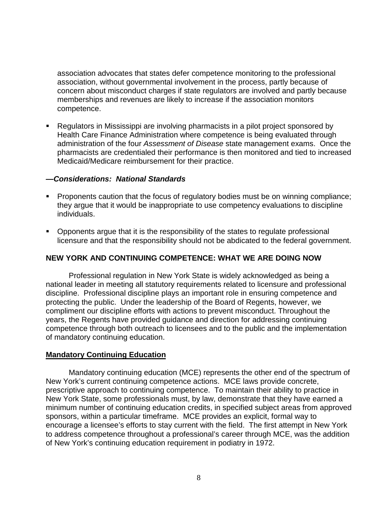association advocates that states defer competence monitoring to the professional association, without governmental involvement in the process, partly because of concern about misconduct charges if state regulators are involved and partly because memberships and revenues are likely to increase if the association monitors competence.

° Regulators in Mississippi are involving pharmacists in a pilot project sponsored by Health Care Finance Administration where competence is being evaluated through administration of the four *Assessment of Disease* state management exams. Once the pharmacists are credentialed their performance is then monitored and tied to increased Medicaid/Medicare reimbursement for their practice.

#### *—Considerations: National Standards*

- Proponents caution that the focus of regulatory bodies must be on winning compliance; they argue that it would be inappropriate to use competency evaluations to discipline individuals.
- Opponents argue that it is the responsibility of the states to regulate professional licensure and that the responsibility should not be abdicated to the federal government.

### **NEW YORK AND CONTINUING COMPETENCE: WHAT WE ARE DOING NOW**

Professional regulation in New York State is widely acknowledged as being a national leader in meeting all statutory requirements related to licensure and professional discipline. Professional discipline plays an important role in ensuring competence and protecting the public. Under the leadership of the Board of Regents, however, we compliment our discipline efforts with actions to prevent misconduct. Throughout the years, the Regents have provided guidance and direction for addressing continuing competence through both outreach to licensees and to the public and the implementation of mandatory continuing education.

### **Mandatory Continuing Education**

 prescriptive approach to continuing competence. To maintain their ability to practice in encourage a licensee's efforts to stay current with the field. The first attempt in New York Mandatory continuing education (MCE) represents the other end of the spectrum of New York's current continuing competence actions. MCE laws provide concrete, New York State, some professionals must, by law, demonstrate that they have earned a minimum number of continuing education credits, in specified subject areas from approved sponsors, within a particular timeframe. MCE provides an explicit, formal way to to address competence throughout a professional's career through MCE, was the addition of New York's continuing education requirement in podiatry in 1972.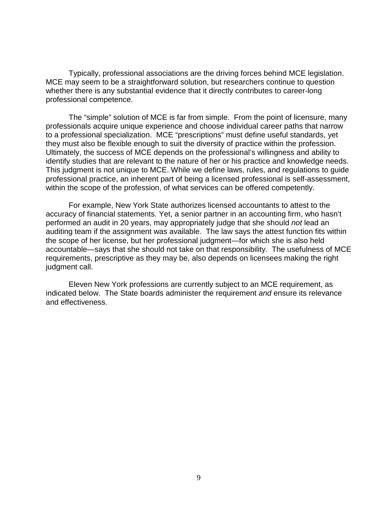Typically, professional associations are the driving forces behind MCE legislation. MCE may seem to be a straightforward solution, but researchers continue to question whether there is any substantial evidence that it directly contributes to career-long professional competence.

 The "simple" solution of MCE is far from simple. From the point of licensure, many professionals acquire unique experience and choose individual career paths that narrow to a professional specialization. MCE "prescriptions" must define useful standards, yet they must also be flexible enough to suit the diversity of practice within the profession. Ultimately, the success of MCE depends on the professional's willingness and ability to identify studies that are relevant to the nature of her or his practice and knowledge needs. This judgment is not unique to MCE. While we define laws, rules, and regulations to guide professional practice, an inherent part of being a licensed professional is self-assessment, within the scope of the profession, of what services can be offered competently.

 auditing team if the assignment was available. The law says the attest function fits within accountable—says that she should not take on that responsibility. The usefulness of MCE For example, New York State authorizes licensed accountants to attest to the accuracy of financial statements. Yet, a senior partner in an accounting firm, who hasn't performed an audit in 20 years, may appropriately judge that she should *not* lead an the scope of her license, but her professional judgment—for which she is also held requirements, prescriptive as they may be, also depends on licensees making the right judgment call.

Eleven New York professions are currently subject to an MCE requirement, as indicated below. The State boards administer the requirement *and* ensure its relevance and effectiveness.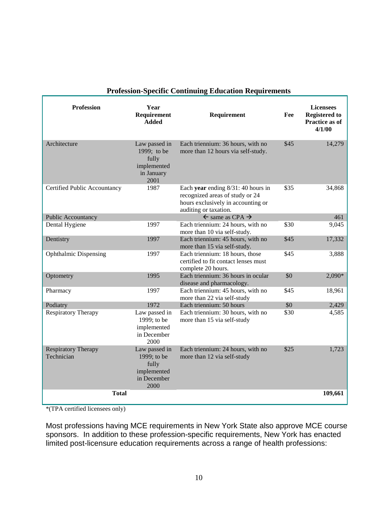| <b>Profession</b>                        | Year<br>Requirement<br><b>Added</b>                                         | Requirement                                                                                                                             | Fee  | <b>Licensees</b><br><b>Registered to</b><br>Practice as of<br>4/1/00 |
|------------------------------------------|-----------------------------------------------------------------------------|-----------------------------------------------------------------------------------------------------------------------------------------|------|----------------------------------------------------------------------|
| Architecture                             | Law passed in<br>1999; to be<br>fully<br>implemented<br>in January<br>2001  | Each triennium: 36 hours, with no<br>more than 12 hours via self-study.                                                                 | \$45 | 14,279                                                               |
| Certified Public Accountancy             | 1987                                                                        | Each year ending $8/31$ : 40 hours in<br>recognized areas of study or 24<br>hours exclusively in accounting or<br>auditing or taxation. | \$35 | 34,868                                                               |
| Public Accountancy                       |                                                                             | $\leftarrow$ same as CPA $\rightarrow$                                                                                                  |      | 461                                                                  |
| Dental Hygiene                           | 1997                                                                        | Each triennium: 24 hours, with no<br>more than 10 via self-study.                                                                       | \$30 | 9,045                                                                |
| Dentistry                                | 1997                                                                        | Each triennium: 45 hours, with no<br>more than 15 via self-study.                                                                       | \$45 | 17,332                                                               |
| <b>Ophthalmic Dispensing</b>             | 1997                                                                        | Each triennium: 18 hours, those<br>certified to fit contact lenses must<br>complete 20 hours.                                           | \$45 | 3,888                                                                |
| Optometry                                | 1995                                                                        | Each triennium: 36 hours in ocular<br>disease and pharmacology.                                                                         | \$0  | 2,090*                                                               |
| Pharmacy                                 | 1997                                                                        | Each triennium: 45 hours, with no<br>more than 22 via self-study                                                                        | \$45 | 18,961                                                               |
| Podiatry                                 | 1972                                                                        | Each triennium: 50 hours                                                                                                                | \$0  | 2,429                                                                |
| <b>Respiratory Therapy</b>               | Law passed in<br>1999; to be<br>implemented<br>in December<br>2000          | Each triennium: 30 hours, with no<br>more than 15 via self-study                                                                        | \$30 | 4,585                                                                |
| <b>Respiratory Therapy</b><br>Technician | Law passed in<br>1999; to be<br>fully<br>implemented<br>in December<br>2000 | Each triennium: 24 hours, with no<br>more than 12 via self-study                                                                        | \$25 | 1,723                                                                |
| <b>Total</b>                             |                                                                             |                                                                                                                                         |      | 109,661                                                              |

# **Profession-Specific Continuing Education Requirements**

\*(TPA certified licensees only)

Most professions having MCE requirements in New York State also approve MCE course sponsors. In addition to these profession-specific requirements, New York has enacted limited post-licensure education requirements across a range of health professions: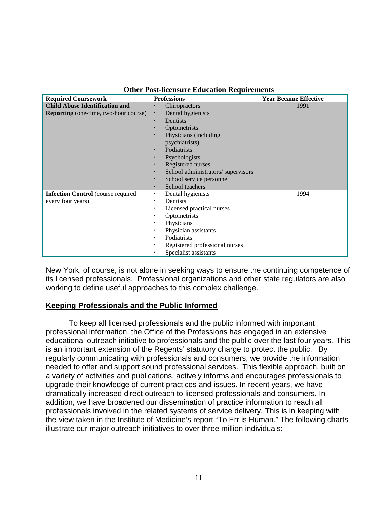| <b>Other Post-licensure Education Requirements</b> |  |  |
|----------------------------------------------------|--|--|
|                                                    |  |  |

| <b>Required Coursework</b>                   | <b>Professions</b>                      | <b>Year Became Effective</b> |
|----------------------------------------------|-----------------------------------------|------------------------------|
| <b>Child Abuse Identification and</b>        | Chiropractors<br>٠                      | 1991                         |
| <b>Reporting</b> (one-time, two-hour course) | Dental hygienists<br>٠                  |                              |
|                                              | <b>Dentists</b><br>٠                    |                              |
|                                              | Optometrists                            |                              |
|                                              | Physicians (including<br>$\blacksquare$ |                              |
|                                              | psychiatrists)                          |                              |
|                                              | Podiatrists<br>٠                        |                              |
|                                              | Psychologists<br>٠                      |                              |
|                                              | Registered nurses<br>٠                  |                              |
|                                              | School administrators/supervisors<br>٠  |                              |
|                                              | School service personnel<br>٠           |                              |
|                                              | School teachers<br>٠                    |                              |
| <b>Infection Control</b> (course required    | Dental hygienists<br>٠.                 | 1994                         |
| every four years)                            | Dentists<br>٠.                          |                              |
|                                              | Licensed practical nurses<br>٠          |                              |
|                                              | Optometrists<br>٠                       |                              |
|                                              | Physicians<br>٠                         |                              |
|                                              | Physician assistants<br>٠               |                              |
|                                              | Podiatrists<br>٠                        |                              |
|                                              | Registered professional nurses<br>٠     |                              |
|                                              | Specialist assistants<br>٠              |                              |

New York, of course, is not alone in seeking ways to ensure the continuing competence of its licensed professionals. Professional organizations and other state regulators are also working to define useful approaches to this complex challenge.

#### **Keeping Professionals and the Public Informed**

 needed to offer and support sound professional services. This flexible approach, built on To keep all licensed professionals and the public informed with important professional information, the Office of the Professions has engaged in an extensive educational outreach initiative to professionals and the public over the last four years. This is an important extension of the Regents' statutory charge to protect the public. By regularly communicating with professionals and consumers, we provide the information a variety of activities and publications, actively informs and encourages professionals to upgrade their knowledge of current practices and issues. In recent years, we have dramatically increased direct outreach to licensed professionals and consumers. In addition, we have broadened our dissemination of practice information to reach all professionals involved in the related systems of service delivery. This is in keeping with the view taken in the Institute of Medicine's report "To Err is Human." The following charts illustrate our major outreach initiatives to over three million individuals: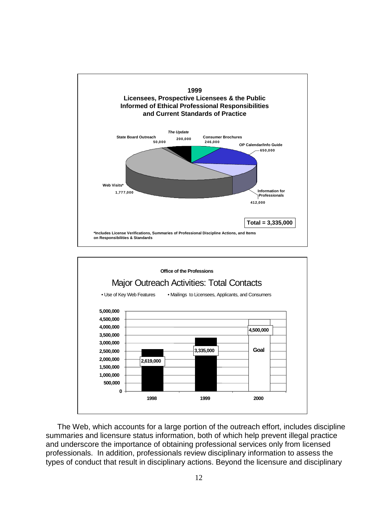



The Web, which accounts for a large portion of the outreach effort, includes discipline summaries and licensure status information, both of which help prevent illegal practice and underscore the importance of obtaining professional services only from licensed professionals. In addition, professionals review disciplinary information to assess the types of conduct that result in disciplinary actions. Beyond the licensure and disciplinary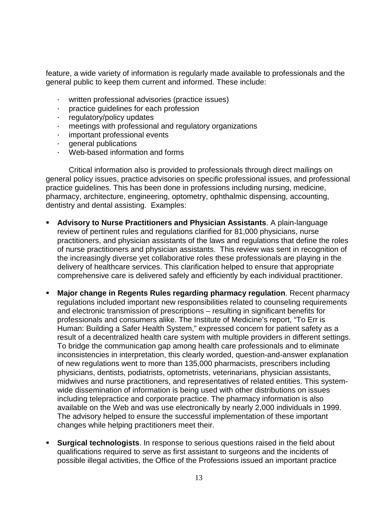feature, a wide variety of information is regularly made available to professionals and the general public to keep them current and informed. These include:

- written professional advisories (practice issues)
- † practice guidelines for each profession
- † regulatory/policy updates
- $\cdot$  meetings with professional and regulatory organizations
- important professional events
- † general publications
- Web-based information and forms

Critical information also is provided to professionals through direct mailings on general policy issues, practice advisories on specific professional issues, and professional practice guidelines. This has been done in professions including nursing, medicine, pharmacy, architecture, engineering, optometry, ophthalmic dispensing, accounting, dentistry and dental assisting. Examples:

- of nurse practitioners and physician assistants. This review was sent in recognition of ° **Advisory to Nurse Practitioners and Physician Assistants**. A plain-language review of pertinent rules and regulations clarified for 81,000 physicians, nurse practitioners, and physician assistants of the laws and regulations that define the roles the increasingly diverse yet collaborative roles these professionals are playing in the delivery of healthcare services. This clarification helped to ensure that appropriate comprehensive care is delivered safely and efficiently by each individual practitioner.
- **Major change in Regents Rules regarding pharmacy regulation**. Recent pharmacy regulations included important new responsibilities related to counseling requirements and electronic transmission of prescriptions – resulting in significant benefits for professionals and consumers alike. The Institute of Medicine's report, "To Err is Human: Building a Safer Health System," expressed concern for patient safety as a result of a decentralized health care system with multiple providers in different settings. To bridge the communication gap among health care professionals and to eliminate inconsistencies in interpretation, this clearly worded, question-and-answer explanation of new regulations went to more than 135,000 pharmacists, prescribers including physicians, dentists, podiatrists, optometrists, veterinarians, physician assistants, midwives and nurse practitioners, and representatives of related entities. This systemwide dissemination of information is being used with other distributions on issues including telepractice and corporate practice. The pharmacy information is also available on the Web and was use electronically by nearly 2,000 individuals in 1999. The advisory helped to ensure the successful implementation of these important changes while helping practitioners meet their.
- **Surgical technologists**. In response to serious questions raised in the field about qualifications required to serve as first assistant to surgeons and the incidents of possible illegal activities, the Office of the Professions issued an important practice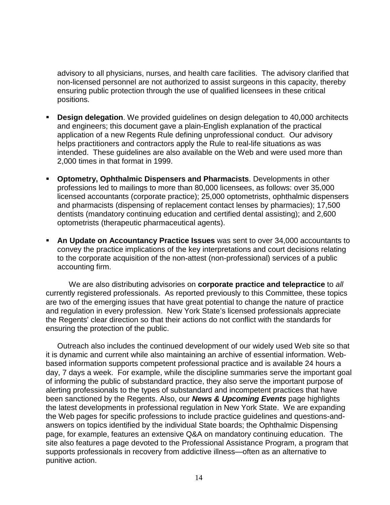advisory to all physicians, nurses, and health care facilities. The advisory clarified that non-licensed personnel are not authorized to assist surgeons in this capacity, thereby ensuring public protection through the use of qualified licensees in these critical positions.

- intended. These guidelines are also available on the Web and were used more than ° **Design delegation**. We provided guidelines on design delegation to 40,000 architects and engineers; this document gave a plain-English explanation of the practical application of a new Regents Rule defining unprofessional conduct. Our advisory helps practitioners and contractors apply the Rule to real-life situations as was 2,000 times in that format in 1999.
- ° **Optometry, Ophthalmic Dispensers and Pharmacists**. Developments in other professions led to mailings to more than 80,000 licensees, as follows: over 35,000 licensed accountants (corporate practice); 25,000 optometrists, ophthalmic dispensers and pharmacists (dispensing of replacement contact lenses by pharmacies); 17,500 dentists (mandatory continuing education and certified dental assisting); and 2,600 optometrists (therapeutic pharmaceutical agents).
- ° **An Update on Accountancy Practice Issues** was sent to over 34,000 accountants to convey the practice implications of the key interpretations and court decisions relating to the corporate acquisition of the non-attest (non-professional) services of a public accounting firm.

We are also distributing advisories on **corporate practice and telepractice** to *all*  currently registered professionals. As reported previously to this Committee, these topics are two of the emerging issues that have great potential to change the nature of practice and regulation in every profession. New York State's licensed professionals appreciate the Regents' clear direction so that their actions do not conflict with the standards for ensuring the protection of the public.

Outreach also includes the continued development of our widely used Web site so that it is dynamic and current while also maintaining an archive of essential information. Webbased information supports competent professional practice and is available 24 hours a day, 7 days a week. For example, while the discipline summaries serve the important goal of informing the public of substandard practice, they also serve the important purpose of alerting professionals to the types of substandard and incompetent practices that have been sanctioned by the Regents. Also, our *News & Upcoming Events* page highlights the latest developments in professional regulation in New York State. We are expanding the Web pages for specific professions to include practice guidelines and questions-andanswers on topics identified by the individual State boards; the Ophthalmic Dispensing page, for example, features an extensive Q&A on mandatory continuing education. The site also features a page devoted to the Professional Assistance Program, a program that supports professionals in recovery from addictive illness—often as an alternative to punitive action.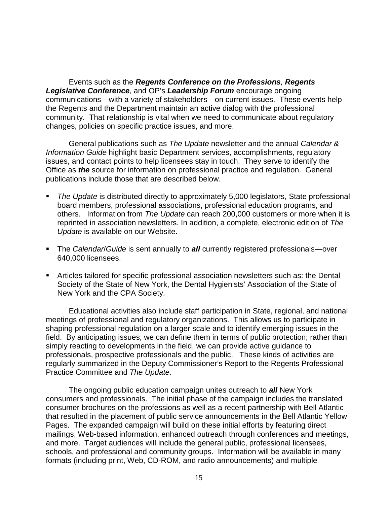Events such as the *Regents Conference on the Professions, Regents*  **Legislative Conference**, and OP's Leadership Forum encourage ongoing communications—with a variety of stakeholders—on current issues. These events help the Regents and the Department maintain an active dialog with the professional community. That relationship is vital when we need to communicate about regulatory changes, policies on specific practice issues, and more.

 General publications such as *The Update* newsletter and the annual *Calendar &*  issues, and contact points to help licensees stay in touch. They serve to identify the  Office as *the* source for information on professional practice and regulation. General *Information Guide* highlight basic Department services, accomplishments, regulatory publications include those that are described below.

- others. Information from *The Update* can reach 200,000 customers or more when it is ° *The Update* is distributed directly to approximately 5,000 legislators, State professional board members, professional associations, professional education programs, and reprinted in association newsletters. In addition, a complete, electronic edition of *The Update* is available on our Website.
- ° The *Calendar*/*Guide* is sent annually to *all* currently registered professionals—over 640,000 licensees.
- ° Articles tailored for specific professional association newsletters such as: the Dental Society of the State of New York, the Dental Hygienists' Association of the State of New York and the CPA Society.

 field. By anticipating issues, we can define them in terms of public protection; rather than Educational activities also include staff participation in State, regional, and national meetings of professional and regulatory organizations. This allows us to participate in shaping professional regulation on a larger scale and to identify emerging issues in the simply reacting to developments in the field, we can provide active guidance to professionals, prospective professionals and the public. These kinds of activities are regularly summarized in the Deputy Commissioner's Report to the Regents Professional Practice Committee and *The Update*.

 consumers and professionals. The initial phase of the campaign includes the translated The ongoing public education campaign unites outreach to *all* New York consumer brochures on the professions as well as a recent partnership with Bell Atlantic that resulted in the placement of public service announcements in the Bell Atlantic Yellow Pages. The expanded campaign will build on these initial efforts by featuring direct mailings, Web-based information, enhanced outreach through conferences and meetings, and more. Target audiences will include the general public, professional licensees, schools, and professional and community groups. Information will be available in many formats (including print, Web, CD-ROM, and radio announcements) and multiple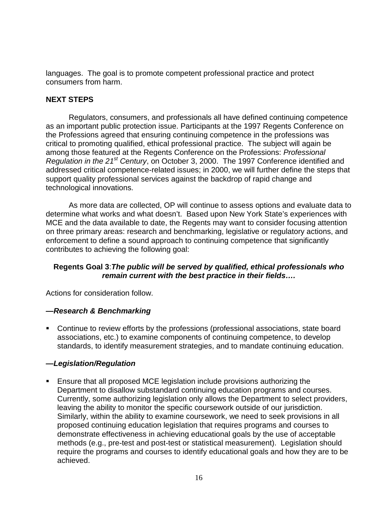languages. The goal is to promote competent professional practice and protect consumers from harm.

# **NEXT STEPS**

 critical to promoting qualified, ethical professional practice. The subject will again be Regulators, consumers, and professionals all have defined continuing competence as an important public protection issue. Participants at the 1997 Regents Conference on the Professions agreed that ensuring continuing competence in the professions was among those featured at the Regents Conference on the Professions: *Professional Regulation in the 21st Century*, on October 3, 2000. The 1997 Conference identified and addressed critical competence-related issues; in 2000, we will further define the steps that support quality professional services against the backdrop of rapid change and technological innovations.

As more data are collected, OP will continue to assess options and evaluate data to determine what works and what doesn't. Based upon New York State's experiences with MCE and the data available to date, the Regents may want to consider focusing attention on three primary areas: research and benchmarking, legislative or regulatory actions, and enforcement to define a sound approach to continuing competence that significantly contributes to achieving the following goal:

### **Regents Goal 3**:*The public will be served by qualified, ethical professionals who remain current with the best practice in their fields….*

Actions for consideration follow.

### *—Research & Benchmarking*

• Continue to review efforts by the professions (professional associations, state board associations, etc.) to examine components of continuing competence, to develop standards, to identify measurement strategies, and to mandate continuing education.

### *—Legislation/Regulation*

 ° Ensure that all proposed MCE legislation include provisions authorizing the Department to disallow substandard continuing education programs and courses. Currently, some authorizing legislation only allows the Department to select providers, leaving the ability to monitor the specific coursework outside of our jurisdiction. Similarly, within the ability to examine coursework, we need to seek provisions in all proposed continuing education legislation that requires programs and courses to demonstrate effectiveness in achieving educational goals by the use of acceptable methods (e.g., pre-test and post-test or statistical measurement). Legislation should require the programs and courses to identify educational goals and how they are to be achieved.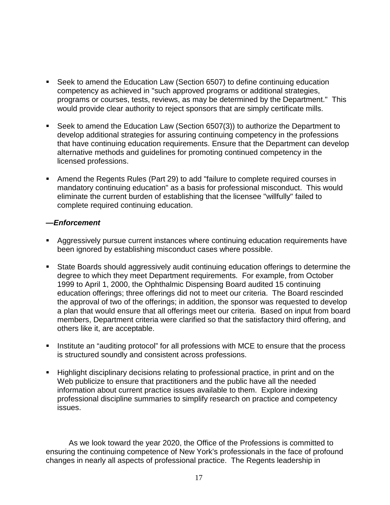- Seek to amend the Education Law (Section 6507) to define continuing education competency as achieved in "such approved programs or additional strategies, programs or courses, tests, reviews, as may be determined by the Department." This would provide clear authority to reject sponsors that are simply certificate mills.
- alternative methods and guidelines for promoting continued competency in the • Seek to amend the Education Law (Section 6507(3)) to authorize the Department to develop additional strategies for assuring continuing competency in the professions that have continuing education requirements. Ensure that the Department can develop licensed professions.
- ° Amend the Regents Rules (Part 29) to add "failure to complete required courses in mandatory continuing education" as a basis for professional misconduct. This would eliminate the current burden of establishing that the licensee "willfully" failed to complete required continuing education.

### *—Enforcement*

- ° Aggressively pursue current instances where continuing education requirements have been ignored by establishing misconduct cases where possible.
- degree to which they meet Department requirements. For example, from October • State Boards should aggressively audit continuing education offerings to determine the 1999 to April 1, 2000, the Ophthalmic Dispensing Board audited 15 continuing education offerings; three offerings did not to meet our criteria. The Board rescinded the approval of two of the offerings; in addition, the sponsor was requested to develop a plan that would ensure that all offerings meet our criteria. Based on input from board members, Department criteria were clarified so that the satisfactory third offering, and others like it, are acceptable.
- ° Institute an "auditing protocol" for all professions with MCE to ensure that the process is structured soundly and consistent across professions.
- ° Highlight disciplinary decisions relating to professional practice, in print and on the Web publicize to ensure that practitioners and the public have all the needed information about current practice issues available to them. Explore indexing professional discipline summaries to simplify research on practice and competency issues.

As we look toward the year 2020, the Office of the Professions is committed to ensuring the continuing competence of New York's professionals in the face of profound changes in nearly all aspects of professional practice. The Regents leadership in